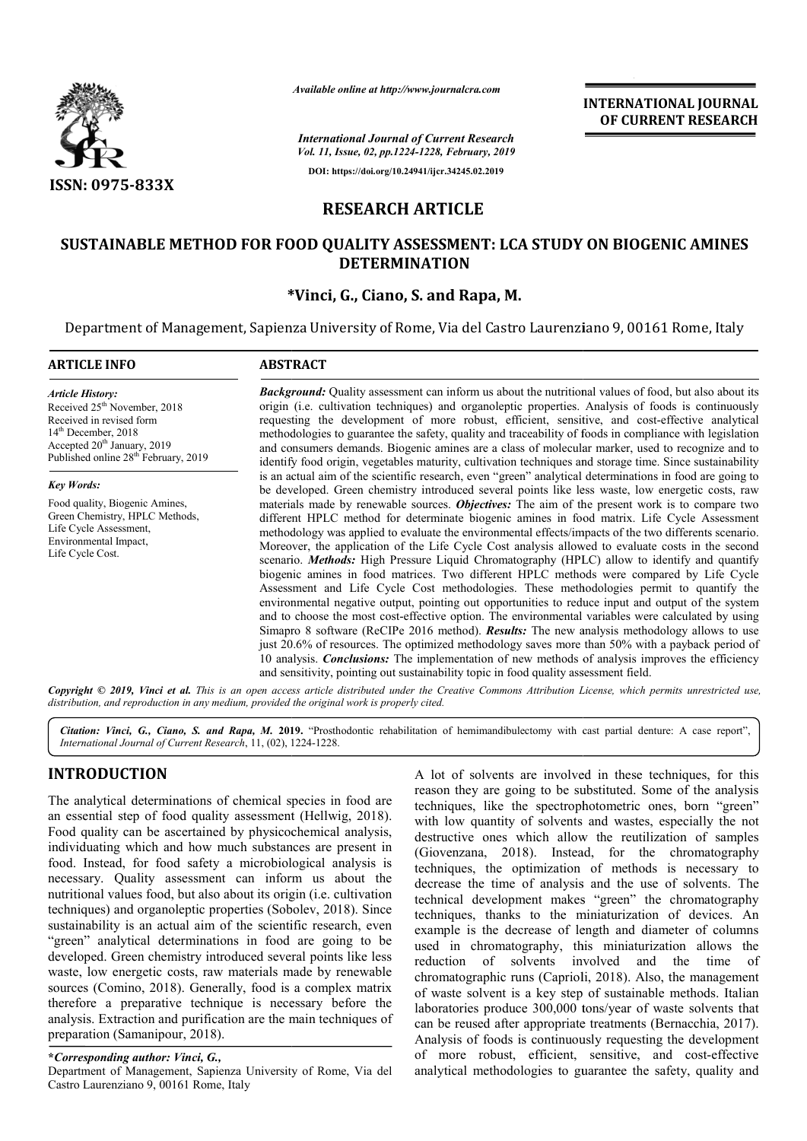

*Available online at http://www.journalcra.com*

*International Journal of Current Research Vol. 11, Issue, 02, pp.1224-1228, February, 2019* **DOI: https://doi.org/10.24941/ijcr.34245.02.2019**

**INTERNATIONAL JOURNAL OF CURRENT RESEARCH**

# **RESEARCH ARTICLE**

# **SUSTAINABLE METHOD FOR FOOD QUALITY ASSESSMENT: LCA STUDY ON BIOGENIC AMINES LCA STUDY DETERMINATION**

# **\* \*Vinci, G., Ciano, S. and Rapa, M.**

Department of Management, Sapienza University of Rome, Via del Castro Laurenziano 9, 00161 Rome, Italy Department of

| <b>ARTICLE INFO</b>                                                                                                                                                                                                     | <b>ABSTRACT</b>                                                                                                                                                                                                                                                                                                                                                                                                                                                                                                                                                                                                                                                                                                                                                                                                                                                                                                                                                                                                                                                                                                                                                                                                                                                                                                                     |  |  |  |
|-------------------------------------------------------------------------------------------------------------------------------------------------------------------------------------------------------------------------|-------------------------------------------------------------------------------------------------------------------------------------------------------------------------------------------------------------------------------------------------------------------------------------------------------------------------------------------------------------------------------------------------------------------------------------------------------------------------------------------------------------------------------------------------------------------------------------------------------------------------------------------------------------------------------------------------------------------------------------------------------------------------------------------------------------------------------------------------------------------------------------------------------------------------------------------------------------------------------------------------------------------------------------------------------------------------------------------------------------------------------------------------------------------------------------------------------------------------------------------------------------------------------------------------------------------------------------|--|--|--|
| <b>Article History:</b><br>Received 25 <sup>th</sup> November, 2018<br>Received in revised form<br>$14th$ December, 2018<br>Accepted 20 <sup>th</sup> January, 2019<br>Published online 28 <sup>th</sup> February, 2019 | <b>Background:</b> Quality assessment can inform us about the nutritional values of food, but also about its<br>origin (i.e. cultivation techniques) and organoleptic properties. Analysis of foods is continuously<br>requesting the development of more robust, efficient, sensitive, and cost-effective analytical<br>methodologies to guarantee the safety, quality and traceability of foods in compliance with legislation<br>and consumers demands. Biogenic amines are a class of molecular marker, used to recognize and to<br>identify food origin, vegetables maturity, cultivation techniques and storage time. Since sustainability                                                                                                                                                                                                                                                                                                                                                                                                                                                                                                                                                                                                                                                                                    |  |  |  |
| <b>Key Words:</b>                                                                                                                                                                                                       | is an actual aim of the scientific research, even "green" analytical determinations in food are going to<br>be developed. Green chemistry introduced several points like less waste, low energetic costs, raw                                                                                                                                                                                                                                                                                                                                                                                                                                                                                                                                                                                                                                                                                                                                                                                                                                                                                                                                                                                                                                                                                                                       |  |  |  |
| Food quality, Biogenic Amines,<br>Green Chemistry, HPLC Methods,<br>Life Cycle Assessment,<br>Environmental Impact,<br>Life Cycle Cost.                                                                                 | materials made by renewable sources. Objectives: The aim of the present work is to compare two<br>different HPLC method for determinate biogenic amines in food matrix. Life Cycle Assessment<br>methodology was applied to evaluate the environmental effects/impacts of the two differents scenario.<br>Moreover, the application of the Life Cycle Cost analysis allowed to evaluate costs in the second<br>scenario. <i>Methods</i> : High Pressure Liquid Chromatography (HPLC) allow to identify and quantify<br>biogenic amines in food matrices. Two different HPLC methods were compared by Life Cycle<br>Assessment and Life Cycle Cost methodologies. These methodologies permit to quantify the<br>environmental negative output, pointing out opportunities to reduce input and output of the system<br>and to choose the most cost-effective option. The environmental variables were calculated by using<br>Simapro 8 software (ReCIPe 2016 method). <b>Results:</b> The new analysis methodology allows to use<br>just 20.6% of resources. The optimized methodology saves more than 50% with a payback period of<br>10 analysis. <b>Conclusions:</b> The implementation of new methods of analysis improves the efficiency<br>and sensitivity, pointing out sustainability topic in food quality assessment field. |  |  |  |

Copyright © 2019, Vinci et al. This is an open access article distributed under the Creative Commons Attribution License, which permits unrestricted use, *distribution, and reproduction in any medium, provided the original work is properly cited.*

Citation: Vinci, G., Ciano, S. and Rapa, M. 2019. "Prosthodontic rehabilitation of hemimandibulectomy with cast partial denture: A case report", *International Journal of Current Research*, 11, (02), 1224 1224-1228.

# **INTRODUCTION**

The analytical determinations of chemical species in food are an essential step of food quality assessment (Hellwig, 2018). Food quality can be ascertained by physicochemical analysis, individuating which and how much substances are present in food. Instead, for food safety a microbiological analysis is necessary. Quality assessment can inform us about the nutritional values food, but also about its origin (i.e. cultivation techniques) and organoleptic properties (Sobolev, 2018). Since sustainability is an actual aim of the scientific research, even "green" analytical determinations in food are going to be developed. Green chemistry introduced several points like less waste, low energetic costs, raw materials made by renewable sources (Comino, 2018). Generally, food is a complex matrix therefore a preparative technique is necessary before the analysis. Extraction and purification are the main techniques of preparation (Samanipour, 2018).

**\****Corresponding author: Vinci, G.,* 

Department of Management, Sapienza University of Rome, Via del Castro Laurenziano 9, 00161 Rome, Italy

A lot of solvents are involved in these techniques, for this<br>
tending techniques, it efformally assessment (Hellwig, 2018).<br>
Michlow quantity of solvents and wastes, especially the not<br>
secretained by physicochemical analy reason they are going to be substituted. Some of the analysis techniques, like the spectrophotometric ones, born "green" with low quantity of solvents and wastes, especially the not destructive ones which allow the reutilization of samples (Giovenzana, 2018). Instead, for the chromatography techniques, the optimization of methods is necessary to decrease the time of analysis and the use of solvents. The A lot of solvents are involved in these techniques, for this reason they are going to be substituted. Some of the analysis techniques, like the spectrophotometric ones, born "green" with low quantity of solvents and wastes techniques, thanks to the miniaturization of devices. An example is the decrease of length and diameter of columns used in chromatography, this miniaturization allows the reduction of solvents involved and the time of chromatographic runs (Caprioli, 2018). Also, the management of waste solvent is a key step of sustainable methods. Italian laboratories produce 300,000 tons/year of waste solvents that of waste solvent is a key step of sustainable methods. Italian laboratories produce 300,000 tons/year of waste solvents that can be reused after appropriate treatments (Bernacchia, 2017). Analysis of foods is continuously requesting the development of more robust, efficient, sensitive, and cost-effective analytical methodologies to guarantee the safety, quality and is, thanks to the miniaturization of devices. An is the decrease of length and diameter of columns chromatography, this miniaturization allows the of solvents involved and the time of graphic runs (Caprioli, 2018). Also, t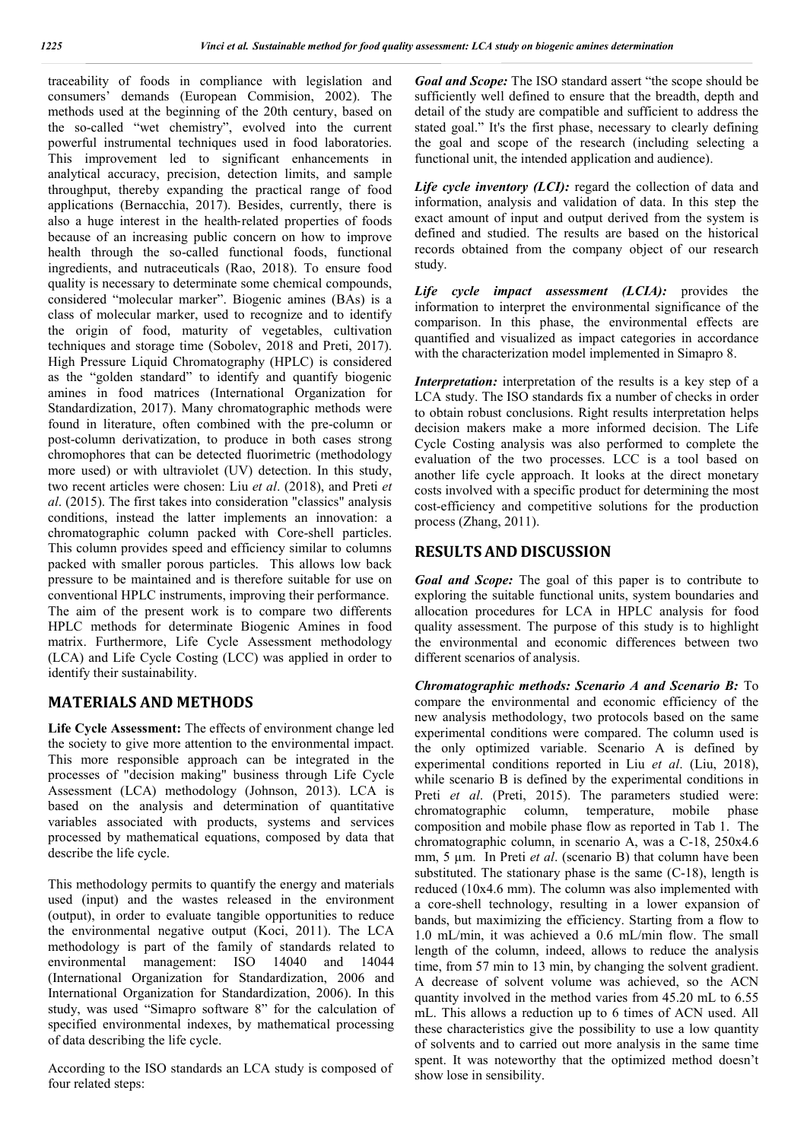traceability of foods in compliance with legislation and consumers' demands (European Commision, 2002). The methods used at the beginning of the 20th century, based on the so-called "wet chemistry", evolved into the current powerful instrumental techniques used in food laboratories. This improvement led to significant enhancements in analytical accuracy, precision, detection limits, and sample throughput, thereby expanding the practical range of food applications (Bernacchia, 2017). Besides, currently, there is also a huge interest in the health‐related properties of foods because of an increasing public concern on how to improve health through the so-called functional foods, functional ingredients, and nutraceuticals (Rao, 2018). To ensure food quality is necessary to determinate some chemical compounds, considered "molecular marker". Biogenic amines (BAs) is a class of molecular marker, used to recognize and to identify the origin of food, maturity of vegetables, cultivation techniques and storage time (Sobolev, 2018 and Preti, 2017). High Pressure Liquid Chromatography (HPLC) is considered as the "golden standard" to identify and quantify biogenic amines in food matrices (International Organization for Standardization, 2017). Many chromatographic methods were found in literature, often combined with the pre-column or post-column derivatization, to produce in both cases strong chromophores that can be detected fluorimetric (methodology more used) or with ultraviolet (UV) detection. In this study, two recent articles were chosen: Liu *et al*. (2018), and Preti *et al*. (2015). The first takes into consideration "classics" analysis conditions, instead the latter implements an innovation: a chromatographic column packed with Core-shell particles. This column provides speed and efficiency similar to columns packed with smaller porous particles. This allows low back pressure to be maintained and is therefore suitable for use on conventional HPLC instruments, improving their performance. The aim of the present work is to compare two differents HPLC methods for determinate Biogenic Amines in food matrix. Furthermore, Life Cycle Assessment methodology (LCA) and Life Cycle Costing (LCC) was applied in order to identify their sustainability.

# **MATERIALS AND METHODS**

**Life Cycle Assessment:** The effects of environment change led the society to give more attention to the environmental impact. This more responsible approach can be integrated in the processes of "decision making" business through Life Cycle Assessment (LCA) methodology (Johnson, 2013). LCA is based on the analysis and determination of quantitative variables associated with products, systems and services processed by mathematical equations, composed by data that describe the life cycle.

This methodology permits to quantify the energy and materials used (input) and the wastes released in the environment (output), in order to evaluate tangible opportunities to reduce the environmental negative output (Koci, 2011). The LCA methodology is part of the family of standards related to environmental management: ISO 14040 and 14044 (International Organization for Standardization, 2006 and International Organization for Standardization, 2006). In this study, was used "Simapro software 8" for the calculation of specified environmental indexes, by mathematical processing of data describing the life cycle.

According to the ISO standards an LCA study is composed of four related steps:

*Goal and Scope:* The ISO standard assert "the scope should be sufficiently well defined to ensure that the breadth, depth and detail of the study are compatible and sufficient to address the stated goal." It's the first phase, necessary to clearly defining the goal and scope of the research (including selecting a functional unit, the intended application and audience).

*Life cycle inventory (LCI)*: regard the collection of data and information, analysis and validation of data. In this step the exact amount of input and output derived from the system is defined and studied. The results are based on the historical records obtained from the company object of our research study.

*Life cycle impact assessment (LCIA):* provides the information to interpret the environmental significance of the comparison. In this phase, the environmental effects are quantified and visualized as impact categories in accordance with the characterization model implemented in Simapro 8.

*Interpretation:* interpretation of the results is a key step of a LCA study. The ISO standards fix a number of checks in order to obtain robust conclusions. Right results interpretation helps decision makers make a more informed decision. The Life Cycle Costing analysis was also performed to complete the evaluation of the two processes. LCC is a tool based on another life cycle approach. It looks at the direct monetary costs involved with a specific product for determining the most cost-efficiency and competitive solutions for the production process (Zhang, 2011).

### **RESULTS AND DISCUSSION**

*Goal and Scope:* The goal of this paper is to contribute to exploring the suitable functional units, system boundaries and allocation procedures for LCA in HPLC analysis for food quality assessment. The purpose of this study is to highlight the environmental and economic differences between two different scenarios of analysis.

*Chromatographic methods: Scenario A and Scenario B:* To compare the environmental and economic efficiency of the new analysis methodology, two protocols based on the same experimental conditions were compared. The column used is the only optimized variable. Scenario A is defined by experimental conditions reported in Liu *et al*. (Liu, 2018), while scenario B is defined by the experimental conditions in Preti *et al.* (Preti, 2015). The parameters studied were: chromatographic column, temperature, mobile phase composition and mobile phase flow as reported in Tab 1. The chromatographic column, in scenario A, was a C-18, 250x4.6 mm, 5 µm. In Preti *et al*. (scenario B) that column have been substituted. The stationary phase is the same (C-18), length is reduced (10x4.6 mm). The column was also implemented with a core-shell technology, resulting in a lower expansion of bands, but maximizing the efficiency. Starting from a flow to 1.0 mL/min, it was achieved a 0.6 mL/min flow. The small length of the column, indeed, allows to reduce the analysis time, from 57 min to 13 min, by changing the solvent gradient. A decrease of solvent volume was achieved, so the ACN quantity involved in the method varies from 45.20 mL to 6.55 mL. This allows a reduction up to 6 times of ACN used. All these characteristics give the possibility to use a low quantity of solvents and to carried out more analysis in the same time spent. It was noteworthy that the optimized method doesn't show lose in sensibility.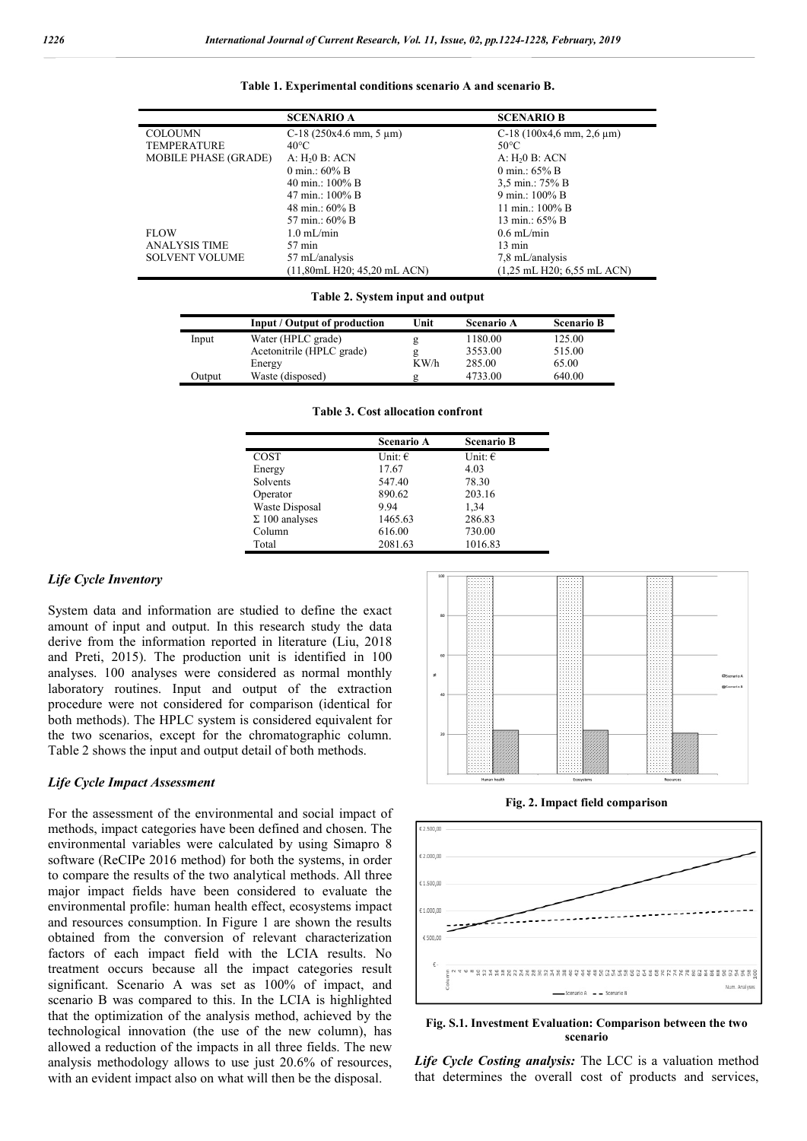|  |  |  |  | Table 1. Experimental conditions scenario A and scenario B. |  |  |  |  |  |
|--|--|--|--|-------------------------------------------------------------|--|--|--|--|--|
|--|--|--|--|-------------------------------------------------------------|--|--|--|--|--|

|                             | <b>SCENARIO A</b>              | <b>SCENARIO B</b>                            |
|-----------------------------|--------------------------------|----------------------------------------------|
| <b>COLOUMN</b>              | C-18 $(250x4.6$ mm, 5 $\mu$ m) | C-18 $(100x4.6$ mm, 2.6 $\mu$ m)             |
| <b>TEMPERATURE</b>          | $40^{\circ}$ C                 | 50°C                                         |
| <b>MOBILE PHASE (GRADE)</b> | A: H <sub>2</sub> 0 B: ACN     | A: H <sub>2</sub> 0 B: ACN                   |
|                             | 0 min.: $60\%$ B               | 0 min.: $65\%$ B                             |
|                             | 40 min.: $100\%$ B             | 3,5 min.: 75% B                              |
|                             | 47 min.: 100% B                | 9 min.: 100% B                               |
|                             | 48 min.: 60% B                 | 11 min.: 100% B                              |
|                             | 57 min.: 60% B                 | 13 min.: 65% B                               |
| <b>FLOW</b>                 | $1.0 \text{ mL/min}$           | $0.6 \text{ mL/min}$                         |
| <b>ANALYSIS TIME</b>        | $57 \,\mathrm{min}$            | $13 \text{ min}$                             |
| <b>SOLVENT VOLUME</b>       | 57 mL/analysis                 | 7,8 mL/analysis                              |
|                             | (11,80mL H20; 45,20mL ACN)     | $(1,25 \text{ mL H}20; 6,55 \text{ mL ACN})$ |

#### **Table 2. System input and output**

|        | Input / Output of production | Unit | Scenario A | <b>Scenario B</b> |
|--------|------------------------------|------|------------|-------------------|
| Input  | Water (HPLC grade)           | g    | 1180.00    | 125.00            |
|        | Acetonitrile (HPLC grade)    |      | 3553.00    | 515.00            |
|        | Energy                       | KW/h | 285.00     | 65.00             |
| Output | Waste (disposed)             | g    | 4733.00    | 640.00            |

|                       | <b>Scenario A</b> | <b>Scenario B</b> |
|-----------------------|-------------------|-------------------|
| COST                  | Unit: $\epsilon$  | Unit: $\epsilon$  |
| Energy                | 17.67             | 4.03              |
| Solvents              | 547.40            | 78.30             |
| Operator              | 890.62            | 203.16            |
| Waste Disposal        | 9.94              | 1,34              |
| $\Sigma$ 100 analyses | 1465.63           | 286.83            |
| Column                | 616.00            | 730.00            |
| Total                 | 2081.63           | 1016.83           |

### **Table 3. Cost allocation confront**

#### *Life Cycle Inventory*

System data and information are studied to define the exact amount of input and output. In this research study the data derive from the information reported in literature (Liu, 2018 and Preti, 2015). The production unit is identified in 100 analyses. 100 analyses were considered as normal monthly laboratory routines. Input and output of the extraction procedure were not considered for comparison (identical for both methods). The HPLC system is considered equivalent for the two scenarios, except for the chromatographic column. Table 2 shows the input and output detail of both methods.

#### *Life Cycle Impact Assessment*

For the assessment of the environmental and social impact of methods, impact categories have been defined and chosen. The environmental variables were calculated by using Simapro 8 software (ReCIPe 2016 method) for both the systems, in order to compare the results of the two analytical methods. All three major impact fields have been considered to evaluate the environmental profile: human health effect, ecosystems impact and resources consumption. In Figure 1 are shown the results obtained from the conversion of relevant characterization factors of each impact field with the LCIA results. No treatment occurs because all the impact categories result significant. Scenario A was set as 100% of impact, and scenario B was compared to this. In the LCIA is highlighted that the optimization of the analysis method, achieved by the technological innovation (the use of the new column), has allowed a reduction of the impacts in all three fields. The new analysis methodology allows to use just 20.6% of resources, with an evident impact also on what will then be the disposal.



**Fig. 2. Impact field comparison**



### **Fig. S.1. Investment Evaluation: Comparison between the two scenario**

*Life Cycle Costing analysis:* The LCC is a valuation method that determines the overall cost of products and services,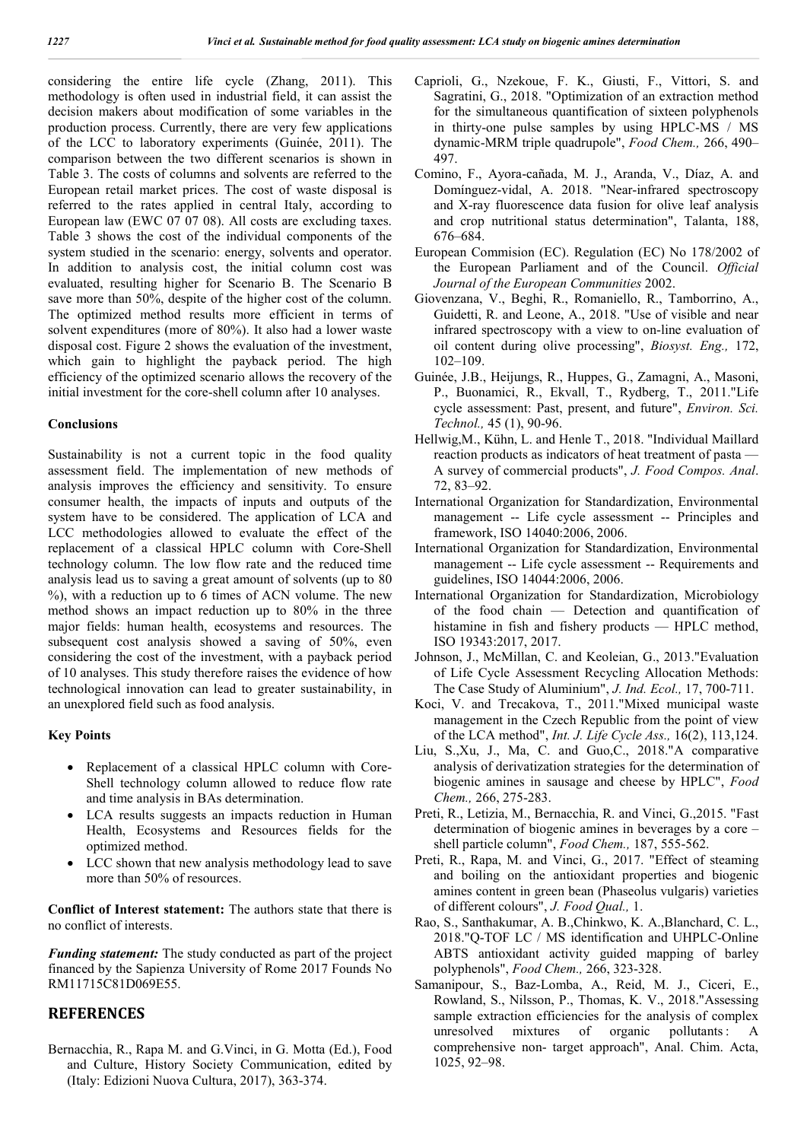considering the entire life cycle (Zhang, 2011). This methodology is often used in industrial field, it can assist the decision makers about modification of some variables in the production process. Currently, there are very few applications of the LCC to laboratory experiments (Guinée, 2011). The comparison between the two different scenarios is shown in Table 3. The costs of columns and solvents are referred to the European retail market prices. The cost of waste disposal is referred to the rates applied in central Italy, according to European law (EWC 07 07 08). All costs are excluding taxes. Table 3 shows the cost of the individual components of the system studied in the scenario: energy, solvents and operator. In addition to analysis cost, the initial column cost was evaluated, resulting higher for Scenario B. The Scenario B save more than 50%, despite of the higher cost of the column. The optimized method results more efficient in terms of solvent expenditures (more of 80%). It also had a lower waste disposal cost. Figure 2 shows the evaluation of the investment, which gain to highlight the payback period. The high efficiency of the optimized scenario allows the recovery of the initial investment for the core-shell column after 10 analyses.

### **Conclusions**

Sustainability is not a current topic in the food quality assessment field. The implementation of new methods of analysis improves the efficiency and sensitivity. To ensure consumer health, the impacts of inputs and outputs of the system have to be considered. The application of LCA and LCC methodologies allowed to evaluate the effect of the replacement of a classical HPLC column with Core-Shell technology column. The low flow rate and the reduced time analysis lead us to saving a great amount of solvents (up to 80 %), with a reduction up to 6 times of ACN volume. The new method shows an impact reduction up to 80% in the three major fields: human health, ecosystems and resources. The subsequent cost analysis showed a saving of 50%, even considering the cost of the investment, with a payback period of 10 analyses. This study therefore raises the evidence of how technological innovation can lead to greater sustainability, in an unexplored field such as food analysis.

### **Key Points**

- Replacement of a classical HPLC column with Core-Shell technology column allowed to reduce flow rate and time analysis in BAs determination.
- LCA results suggests an impacts reduction in Human Health, Ecosystems and Resources fields for the optimized method.
- LCC shown that new analysis methodology lead to save more than 50% of resources.

**Conflict of Interest statement:** The authors state that there is no conflict of interests.

*Funding statement:* The study conducted as part of the project financed by the Sapienza University of Rome 2017 Founds No RM11715C81D069E55.

## **REFERENCES**

Bernacchia, R., Rapa M. and G.Vinci, in G. Motta (Ed.), Food and Culture, History Society Communication, edited by (Italy: Edizioni Nuova Cultura, 2017), 363-374.

- Caprioli, G., Nzekoue, F. K., Giusti, F., Vittori, S. and Sagratini, G., 2018. "Optimization of an extraction method for the simultaneous quantification of sixteen polyphenols in thirty-one pulse samples by using HPLC-MS / MS dynamic-MRM triple quadrupole", *Food Chem.,* 266, 490– 497.
- Comino, F., Ayora-cañada, M. J., Aranda, V., Díaz, A. and Domínguez-vidal, A. 2018. "Near-infrared spectroscopy and X-ray fluorescence data fusion for olive leaf analysis and crop nutritional status determination", Talanta, 188, 676–684.
- European Commision (EC). Regulation (EC) No 178/2002 of the European Parliament and of the Council. *Official Journal of the European Communities* 2002.
- Giovenzana, V., Beghi, R., Romaniello, R., Tamborrino, A., Guidetti, R. and Leone, A., 2018. "Use of visible and near infrared spectroscopy with a view to on-line evaluation of oil content during olive processing", *Biosyst. Eng.,* 172, 102–109.
- Guinée, J.B., Heijungs, R., Huppes, G., Zamagni, A., Masoni, P., Buonamici, R., Ekvall, T., Rydberg, T., 2011."Life cycle assessment: Past, present, and future", *Environ. Sci. Technol.,* 45 (1), 90-96.
- Hellwig,M., Kühn, L. and Henle T., 2018. "Individual Maillard reaction products as indicators of heat treatment of pasta — A survey of commercial products", *J. Food Compos. Anal*. 72, 83–92.
- International Organization for Standardization, Environmental management -- Life cycle assessment -- Principles and framework, ISO 14040:2006, 2006.
- International Organization for Standardization, Environmental management -- Life cycle assessment -- Requirements and guidelines, ISO 14044:2006, 2006.
- International Organization for Standardization, Microbiology of the food chain — Detection and quantification of histamine in fish and fishery products — HPLC method, ISO 19343:2017, 2017.
- Johnson, J., McMillan, C. and Keoleian, G., 2013."Evaluation of Life Cycle Assessment Recycling Allocation Methods: The Case Study of Aluminium", *J. Ind. Ecol.,* 17, 700-711.
- Koci, V. and Trecakova, T., 2011."Mixed municipal waste management in the Czech Republic from the point of view of the LCA method", *Int. J. Life Cycle Ass.,* 16(2), 113,124.
- Liu, S.,Xu, J., Ma, C. and Guo,C., 2018."A comparative analysis of derivatization strategies for the determination of biogenic amines in sausage and cheese by HPLC", *Food Chem.,* 266, 275-283.
- Preti, R., Letizia, M., Bernacchia, R. and Vinci, G.,2015. "Fast determination of biogenic amines in beverages by a core – shell particle column", *Food Chem.,* 187, 555-562.
- Preti, R., Rapa, M. and Vinci, G., 2017. "Effect of steaming and boiling on the antioxidant properties and biogenic amines content in green bean (Phaseolus vulgaris) varieties of different colours", *J. Food Qual.,* 1.
- Rao, S., Santhakumar, A. B.,Chinkwo, K. A.,Blanchard, C. L., 2018."Q-TOF LC / MS identification and UHPLC-Online ABTS antioxidant activity guided mapping of barley polyphenols", *Food Chem.,* 266, 323-328.
- Samanipour, S., Baz-Lomba, A., Reid, M. J., Ciceri, E., Rowland, S., Nilsson, P., Thomas, K. V., 2018."Assessing sample extraction efficiencies for the analysis of complex unresolved mixtures of organic pollutants: A comprehensive non- target approach", Anal. Chim. Acta, 1025, 92–98.